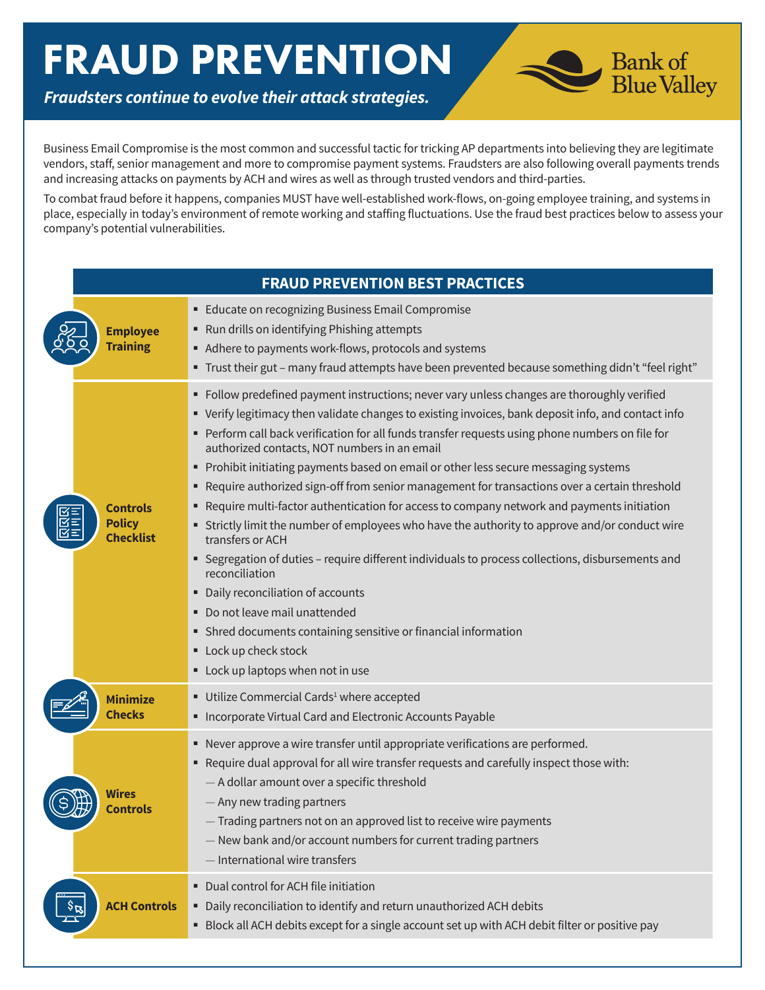## FRAUD PREVENTION



*Fraudsters continue to evolve their attack strategies.* 

Business Email Compromise is the most common and successful tactic for tricking AP departments into believing they are legitimate vendors, staff, senior management and more to compromise payment systems. Fraudsters are also following overall payments trends and increasing attacks on payments by ACH and wires as well as through trusted vendors and third-parties.

To combat fraud before it happens, companies MUST have well-established work-flows, on-going employee training, and systems in place, especially in today's environment of remote working and staffing fluctuations. Use the fraud best practices below to assess your company's potential vulnerabilities.

| <b>FRAUD PREVENTION BEST PRACTICES</b>               |                                                                                                                                                                                                                                                                                                                                                                                                                                                                                                                                                                                                                                                                                                                                                                                                                                                                                                                                                                                                                                                                                                            |  |
|------------------------------------------------------|------------------------------------------------------------------------------------------------------------------------------------------------------------------------------------------------------------------------------------------------------------------------------------------------------------------------------------------------------------------------------------------------------------------------------------------------------------------------------------------------------------------------------------------------------------------------------------------------------------------------------------------------------------------------------------------------------------------------------------------------------------------------------------------------------------------------------------------------------------------------------------------------------------------------------------------------------------------------------------------------------------------------------------------------------------------------------------------------------------|--|
| <b>Employee</b><br><b>Training</b>                   | <b>Educate on recognizing Business Email Compromise</b><br>" Run drills on identifying Phishing attempts<br>Adhere to payments work-flows, protocols and systems<br>" Trust their gut - many fraud attempts have been prevented because something didn't "feel right"                                                                                                                                                                                                                                                                                                                                                                                                                                                                                                                                                                                                                                                                                                                                                                                                                                      |  |
| <b>Controls</b><br><b>Policy</b><br><b>Checklist</b> | Follow predefined payment instructions; never vary unless changes are thoroughly verified<br>٠<br>• Verify legitimacy then validate changes to existing invoices, bank deposit info, and contact info<br>Perform call back verification for all funds transfer requests using phone numbers on file for<br>authorized contacts, NOT numbers in an email<br>Prohibit initiating payments based on email or other less secure messaging systems<br>Require authorized sign-off from senior management for transactions over a certain threshold<br>٠<br>Require multi-factor authentication for access to company network and payments initiation<br>٠<br>" Strictly limit the number of employees who have the authority to approve and/or conduct wire<br>transfers or ACH<br>Segregation of duties - require different individuals to process collections, disbursements and<br>reconciliation<br>Daily reconciliation of accounts<br>٠<br>Do not leave mail unattended<br>٠<br>• Shred documents containing sensitive or financial information<br>Lock up check stock<br>Lock up laptops when not in use |  |
| <b>Minimize</b><br><b>Checks</b>                     | Utilize Commercial Cards <sup>1</sup> where accepted<br>Incorporate Virtual Card and Electronic Accounts Payable                                                                                                                                                                                                                                                                                                                                                                                                                                                                                                                                                                                                                                                                                                                                                                                                                                                                                                                                                                                           |  |
| Wires<br>Controls                                    | • Never approve a wire transfer until appropriate verifications are performed.<br>" Require dual approval for all wire transfer requests and carefully inspect those with:<br>- A dollar amount over a specific threshold<br>- Any new trading partners<br>- Trading partners not on an approved list to receive wire payments<br>- New bank and/or account numbers for current trading partners<br>- International wire transfers                                                                                                                                                                                                                                                                                                                                                                                                                                                                                                                                                                                                                                                                         |  |
| <b>ACH Controls</b>                                  | Dual control for ACH file initiation<br>٠<br>Daily reconciliation to identify and return unauthorized ACH debits<br>• Block all ACH debits except for a single account set up with ACH debit filter or positive pay                                                                                                                                                                                                                                                                                                                                                                                                                                                                                                                                                                                                                                                                                                                                                                                                                                                                                        |  |